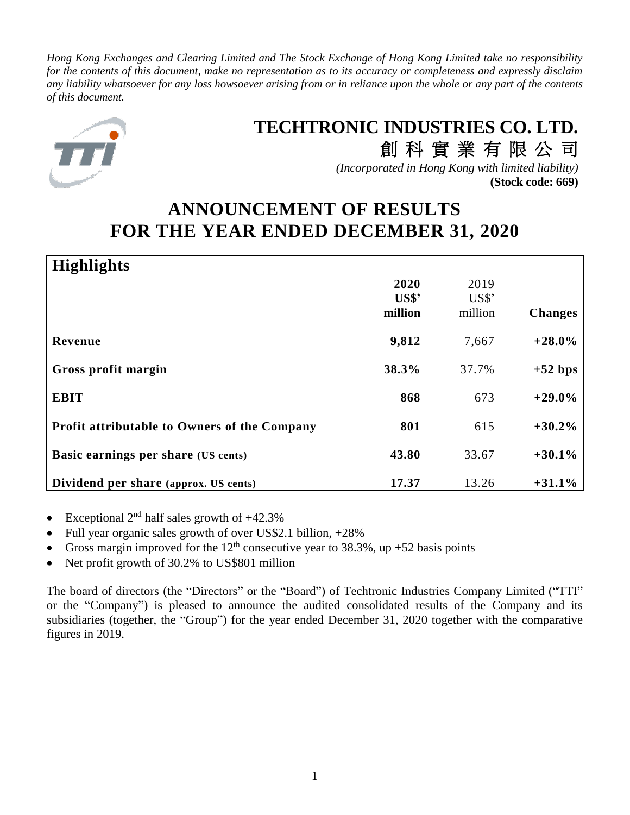*Hong Kong Exchanges and Clearing Limited and The Stock Exchange of Hong Kong Limited take no responsibility for the contents of this document, make no representation as to its accuracy or completeness and expressly disclaim any liability whatsoever for any loss howsoever arising from or in reliance upon the whole or any part of the contents of this document.*



# **TECHTRONIC INDUSTRIES CO. LTD.**

創 科 實 業 有 限 公 司 *(Incorporated in Hong Kong with limited liability)* **(Stock code: 669)**

# **ANNOUNCEMENT OF RESULTS FOR THE YEAR ENDED DECEMBER 31, 2020**

| <b>Highlights</b>                            |                                   |         |                |
|----------------------------------------------|-----------------------------------|---------|----------------|
|                                              | 2020                              | 2019    |                |
|                                              | $\mathbf{U}\mathbf{S}\mathbf{\$}$ | US\$'   |                |
|                                              | million                           | million | <b>Changes</b> |
| Revenue                                      | 9,812                             | 7,667   | $+28.0\%$      |
| Gross profit margin                          | 38.3%                             | 37.7%   | $+52$ bps      |
| <b>EBIT</b>                                  | 868                               | 673     | $+29.0%$       |
| Profit attributable to Owners of the Company | 801                               | 615     | $+30.2%$       |
| Basic earnings per share (US cents)          | 43.80                             | 33.67   | $+30.1%$       |
| Dividend per share (approx. US cents)        | 17.37                             | 13.26   | $+31.1%$       |

- Exceptional  $2<sup>nd</sup>$  half sales growth of  $+42.3\%$
- Full year organic sales growth of over US\$2.1 billion, +28%
- Gross margin improved for the  $12<sup>th</sup>$  consecutive year to 38.3%, up +52 basis points
- Net profit growth of 30.2% to US\$801 million

The board of directors (the "Directors" or the "Board") of Techtronic Industries Company Limited ("TTI" or the "Company") is pleased to announce the audited consolidated results of the Company and its subsidiaries (together, the "Group") for the year ended December 31, 2020 together with the comparative figures in 2019.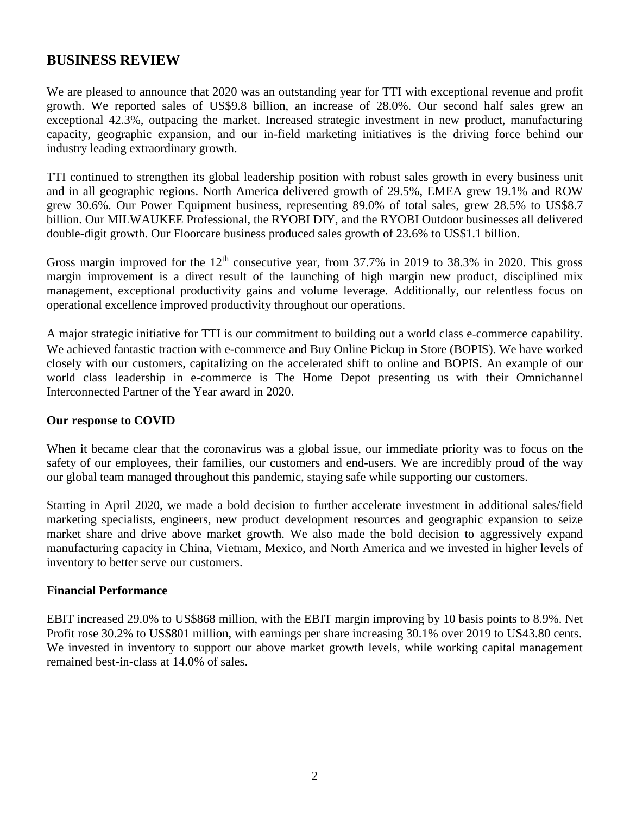### **BUSINESS REVIEW**

We are pleased to announce that 2020 was an outstanding year for TTI with exceptional revenue and profit growth. We reported sales of US\$9.8 billion, an increase of 28.0%. Our second half sales grew an exceptional 42.3%, outpacing the market. Increased strategic investment in new product, manufacturing capacity, geographic expansion, and our in-field marketing initiatives is the driving force behind our industry leading extraordinary growth.

TTI continued to strengthen its global leadership position with robust sales growth in every business unit and in all geographic regions. North America delivered growth of 29.5%, EMEA grew 19.1% and ROW grew 30.6%. Our Power Equipment business, representing 89.0% of total sales, grew 28.5% to US\$8.7 billion. Our MILWAUKEE Professional, the RYOBI DIY, and the RYOBI Outdoor businesses all delivered double-digit growth. Our Floorcare business produced sales growth of 23.6% to US\$1.1 billion.

Gross margin improved for the  $12<sup>th</sup>$  consecutive year, from 37.7% in 2019 to 38.3% in 2020. This gross margin improvement is a direct result of the launching of high margin new product, disciplined mix management, exceptional productivity gains and volume leverage. Additionally, our relentless focus on operational excellence improved productivity throughout our operations.

A major strategic initiative for TTI is our commitment to building out a world class e-commerce capability. We achieved fantastic traction with e-commerce and Buy Online Pickup in Store (BOPIS). We have worked closely with our customers, capitalizing on the accelerated shift to online and BOPIS. An example of our world class leadership in e-commerce is The Home Depot presenting us with their Omnichannel Interconnected Partner of the Year award in 2020.

### **Our response to COVID**

When it became clear that the coronavirus was a global issue, our immediate priority was to focus on the safety of our employees, their families, our customers and end-users. We are incredibly proud of the way our global team managed throughout this pandemic, staying safe while supporting our customers.

Starting in April 2020, we made a bold decision to further accelerate investment in additional sales/field marketing specialists, engineers, new product development resources and geographic expansion to seize market share and drive above market growth. We also made the bold decision to aggressively expand manufacturing capacity in China, Vietnam, Mexico, and North America and we invested in higher levels of inventory to better serve our customers.

### **Financial Performance**

EBIT increased 29.0% to US\$868 million, with the EBIT margin improving by 10 basis points to 8.9%. Net Profit rose 30.2% to US\$801 million, with earnings per share increasing 30.1% over 2019 to US43.80 cents. We invested in inventory to support our above market growth levels, while working capital management remained best-in-class at 14.0% of sales.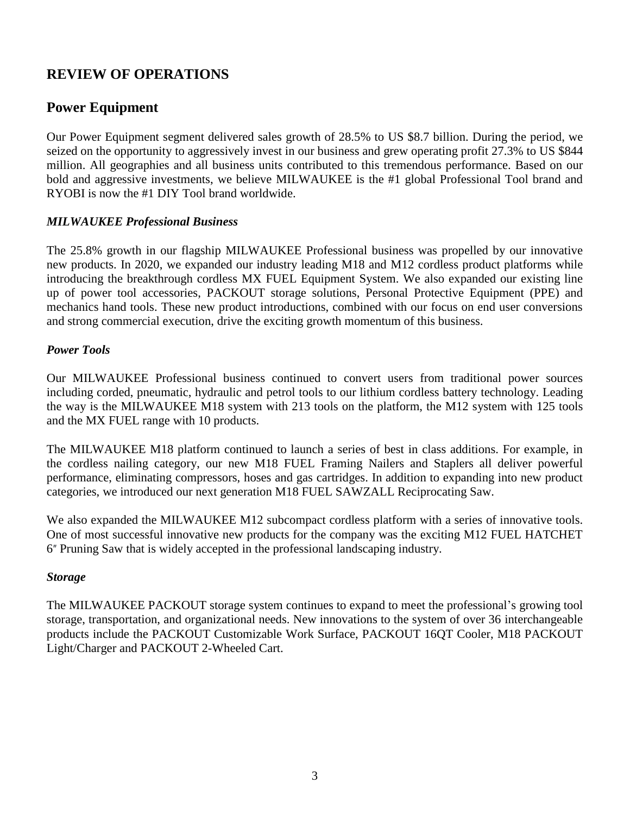# **REVIEW OF OPERATIONS**

### **Power Equipment**

Our Power Equipment segment delivered sales growth of 28.5% to US \$8.7 billion. During the period, we seized on the opportunity to aggressively invest in our business and grew operating profit 27.3% to US \$844 million. All geographies and all business units contributed to this tremendous performance. Based on our bold and aggressive investments, we believe MILWAUKEE is the #1 global Professional Tool brand and RYOBI is now the #1 DIY Tool brand worldwide.

### *MILWAUKEE Professional Business*

The 25.8% growth in our flagship MILWAUKEE Professional business was propelled by our innovative new products. In 2020, we expanded our industry leading M18 and M12 cordless product platforms while introducing the breakthrough cordless MX FUEL Equipment System. We also expanded our existing line up of power tool accessories, PACKOUT storage solutions, Personal Protective Equipment (PPE) and mechanics hand tools. These new product introductions, combined with our focus on end user conversions and strong commercial execution, drive the exciting growth momentum of this business.

### *Power Tools*

Our MILWAUKEE Professional business continued to convert users from traditional power sources including corded, pneumatic, hydraulic and petrol tools to our lithium cordless battery technology. Leading the way is the MILWAUKEE M18 system with 213 tools on the platform, the M12 system with 125 tools and the MX FUEL range with 10 products.

The MILWAUKEE M18 platform continued to launch a series of best in class additions. For example, in the cordless nailing category, our new M18 FUEL Framing Nailers and Staplers all deliver powerful performance, eliminating compressors, hoses and gas cartridges. In addition to expanding into new product categories, we introduced our next generation M18 FUEL SAWZALL Reciprocating Saw.

We also expanded the MILWAUKEE M12 subcompact cordless platform with a series of innovative tools. One of most successful innovative new products for the company was the exciting M12 FUEL HATCHET 6″ Pruning Saw that is widely accepted in the professional landscaping industry.

### *Storage*

The MILWAUKEE PACKOUT storage system continues to expand to meet the professional's growing tool storage, transportation, and organizational needs. New innovations to the system of over 36 interchangeable products include the PACKOUT Customizable Work Surface, PACKOUT 16QT Cooler, M18 PACKOUT Light/Charger and PACKOUT 2-Wheeled Cart.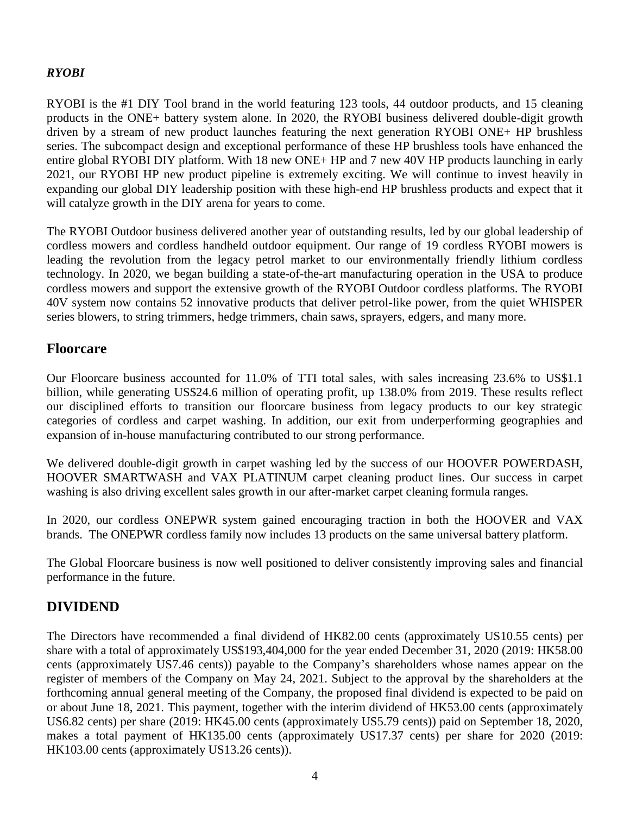### *RYOBI*

RYOBI is the #1 DIY Tool brand in the world featuring 123 tools, 44 outdoor products, and 15 cleaning products in the ONE+ battery system alone. In 2020, the RYOBI business delivered double-digit growth driven by a stream of new product launches featuring the next generation RYOBI ONE+ HP brushless series. The subcompact design and exceptional performance of these HP brushless tools have enhanced the entire global RYOBI DIY platform. With 18 new ONE+ HP and 7 new 40V HP products launching in early 2021, our RYOBI HP new product pipeline is extremely exciting. We will continue to invest heavily in expanding our global DIY leadership position with these high-end HP brushless products and expect that it will catalyze growth in the DIY arena for years to come.

The RYOBI Outdoor business delivered another year of outstanding results, led by our global leadership of cordless mowers and cordless handheld outdoor equipment. Our range of 19 cordless RYOBI mowers is leading the revolution from the legacy petrol market to our environmentally friendly lithium cordless technology. In 2020, we began building a state-of-the-art manufacturing operation in the USA to produce cordless mowers and support the extensive growth of the RYOBI Outdoor cordless platforms. The RYOBI 40V system now contains 52 innovative products that deliver petrol-like power, from the quiet WHISPER series blowers, to string trimmers, hedge trimmers, chain saws, sprayers, edgers, and many more.

### **Floorcare**

Our Floorcare business accounted for 11.0% of TTI total sales, with sales increasing 23.6% to US\$1.1 billion, while generating US\$24.6 million of operating profit, up 138.0% from 2019. These results reflect our disciplined efforts to transition our floorcare business from legacy products to our key strategic categories of cordless and carpet washing. In addition, our exit from underperforming geographies and expansion of in-house manufacturing contributed to our strong performance.

We delivered double-digit growth in carpet washing led by the success of our HOOVER POWERDASH, HOOVER SMARTWASH and VAX PLATINUM carpet cleaning product lines. Our success in carpet washing is also driving excellent sales growth in our after-market carpet cleaning formula ranges.

In 2020, our cordless ONEPWR system gained encouraging traction in both the HOOVER and VAX brands. The ONEPWR cordless family now includes 13 products on the same universal battery platform.

The Global Floorcare business is now well positioned to deliver consistently improving sales and financial performance in the future.

## **DIVIDEND**

The Directors have recommended a final dividend of HK82.00 cents (approximately US10.55 cents) per share with a total of approximately US\$193,404,000 for the year ended December 31, 2020 (2019: HK58.00 cents (approximately US7.46 cents)) payable to the Company's shareholders whose names appear on the register of members of the Company on May 24, 2021. Subject to the approval by the shareholders at the forthcoming annual general meeting of the Company, the proposed final dividend is expected to be paid on or about June 18, 2021. This payment, together with the interim dividend of HK53.00 cents (approximately US6.82 cents) per share (2019: HK45.00 cents (approximately US5.79 cents)) paid on September 18, 2020, makes a total payment of HK135.00 cents (approximately US17.37 cents) per share for 2020 (2019: HK103.00 cents (approximately US13.26 cents)).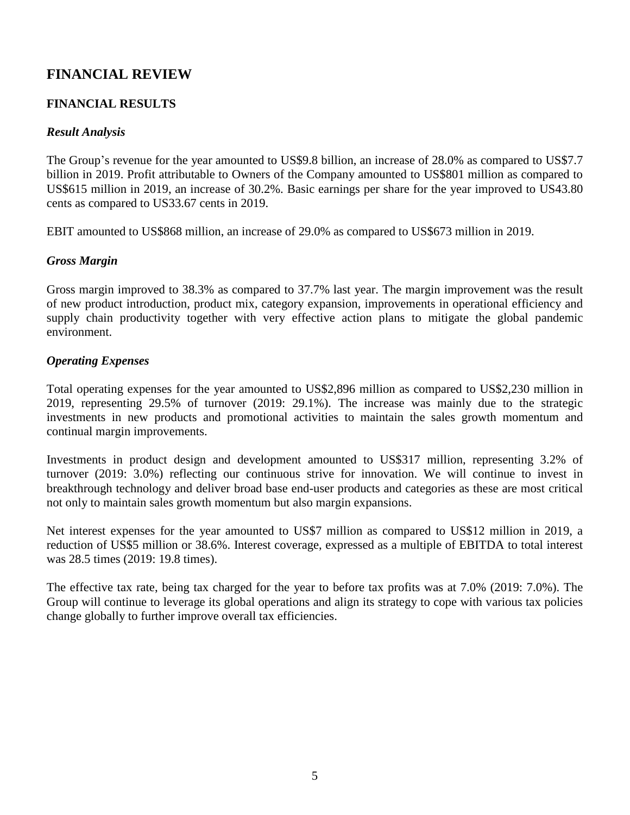# **FINANCIAL REVIEW**

### **FINANCIAL RESULTS**

### *Result Analysis*

The Group's revenue for the year amounted to US\$9.8 billion, an increase of 28.0% as compared to US\$7.7 billion in 2019. Profit attributable to Owners of the Company amounted to US\$801 million as compared to US\$615 million in 2019, an increase of 30.2%. Basic earnings per share for the year improved to US43.80 cents as compared to US33.67 cents in 2019.

EBIT amounted to US\$868 million, an increase of 29.0% as compared to US\$673 million in 2019.

### *Gross Margin*

Gross margin improved to 38.3% as compared to 37.7% last year. The margin improvement was the result of new product introduction, product mix, category expansion, improvements in operational efficiency and supply chain productivity together with very effective action plans to mitigate the global pandemic environment.

### *Operating Expenses*

Total operating expenses for the year amounted to US\$2,896 million as compared to US\$2,230 million in 2019, representing 29.5% of turnover (2019: 29.1%). The increase was mainly due to the strategic investments in new products and promotional activities to maintain the sales growth momentum and continual margin improvements.

Investments in product design and development amounted to US\$317 million, representing 3.2% of turnover (2019: 3.0%) reflecting our continuous strive for innovation. We will continue to invest in breakthrough technology and deliver broad base end-user products and categories as these are most critical not only to maintain sales growth momentum but also margin expansions.

Net interest expenses for the year amounted to US\$7 million as compared to US\$12 million in 2019, a reduction of US\$5 million or 38.6%. Interest coverage, expressed as a multiple of EBITDA to total interest was 28.5 times (2019: 19.8 times).

The effective tax rate, being tax charged for the year to before tax profits was at 7.0% (2019: 7.0%). The Group will continue to leverage its global operations and align its strategy to cope with various tax policies change globally to further improve overall tax efficiencies.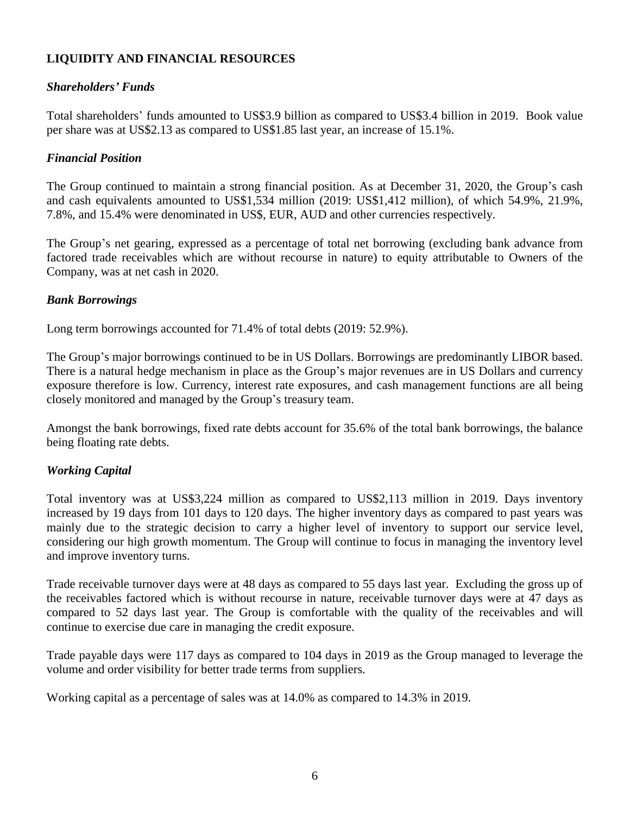### **LIQUIDITY AND FINANCIAL RESOURCES**

### *Shareholders' Funds*

Total shareholders' funds amounted to US\$3.9 billion as compared to US\$3.4 billion in 2019. Book value per share was at US\$2.13 as compared to US\$1.85 last year, an increase of 15.1%.

### *Financial Position*

The Group continued to maintain a strong financial position. As at December 31, 2020, the Group's cash and cash equivalents amounted to US\$1,534 million (2019: US\$1,412 million), of which 54.9%, 21.9%, 7.8%, and 15.4% were denominated in US\$, EUR, AUD and other currencies respectively.

The Group's net gearing, expressed as a percentage of total net borrowing (excluding bank advance from factored trade receivables which are without recourse in nature) to equity attributable to Owners of the Company, was at net cash in 2020.

### *Bank Borrowings*

Long term borrowings accounted for 71.4% of total debts (2019: 52.9%).

The Group's major borrowings continued to be in US Dollars. Borrowings are predominantly LIBOR based. There is a natural hedge mechanism in place as the Group's major revenues are in US Dollars and currency exposure therefore is low. Currency, interest rate exposures, and cash management functions are all being closely monitored and managed by the Group's treasury team.

Amongst the bank borrowings, fixed rate debts account for 35.6% of the total bank borrowings, the balance being floating rate debts.

### *Working Capital*

Total inventory was at US\$3,224 million as compared to US\$2,113 million in 2019. Days inventory increased by 19 days from 101 days to 120 days. The higher inventory days as compared to past years was mainly due to the strategic decision to carry a higher level of inventory to support our service level, considering our high growth momentum. The Group will continue to focus in managing the inventory level and improve inventory turns.

Trade receivable turnover days were at 48 days as compared to 55 days last year. Excluding the gross up of the receivables factored which is without recourse in nature, receivable turnover days were at 47 days as compared to 52 days last year. The Group is comfortable with the quality of the receivables and will continue to exercise due care in managing the credit exposure.

Trade payable days were 117 days as compared to 104 days in 2019 as the Group managed to leverage the volume and order visibility for better trade terms from suppliers.

Working capital as a percentage of sales was at 14.0% as compared to 14.3% in 2019.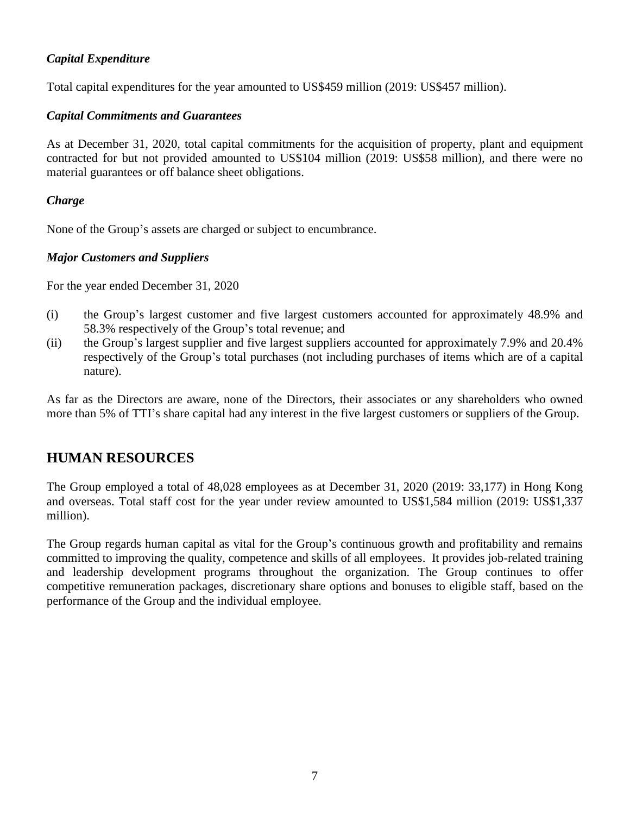### *Capital Expenditure*

Total capital expenditures for the year amounted to US\$459 million (2019: US\$457 million).

### *Capital Commitments and Guarantees*

As at December 31, 2020, total capital commitments for the acquisition of property, plant and equipment contracted for but not provided amounted to US\$104 million (2019: US\$58 million), and there were no material guarantees or off balance sheet obligations.

### *Charge*

None of the Group's assets are charged or subject to encumbrance.

### *Major Customers and Suppliers*

For the year ended December 31, 2020

- (i) the Group's largest customer and five largest customers accounted for approximately 48.9% and 58.3% respectively of the Group's total revenue; and
- (ii) the Group's largest supplier and five largest suppliers accounted for approximately 7.9% and 20.4% respectively of the Group's total purchases (not including purchases of items which are of a capital nature).

As far as the Directors are aware, none of the Directors, their associates or any shareholders who owned more than 5% of TTI's share capital had any interest in the five largest customers or suppliers of the Group.

# **HUMAN RESOURCES**

The Group employed a total of 48,028 employees as at December 31, 2020 (2019: 33,177) in Hong Kong and overseas. Total staff cost for the year under review amounted to US\$1,584 million (2019: US\$1,337 million).

The Group regards human capital as vital for the Group's continuous growth and profitability and remains committed to improving the quality, competence and skills of all employees. It provides job-related training and leadership development programs throughout the organization. The Group continues to offer competitive remuneration packages, discretionary share options and bonuses to eligible staff, based on the performance of the Group and the individual employee.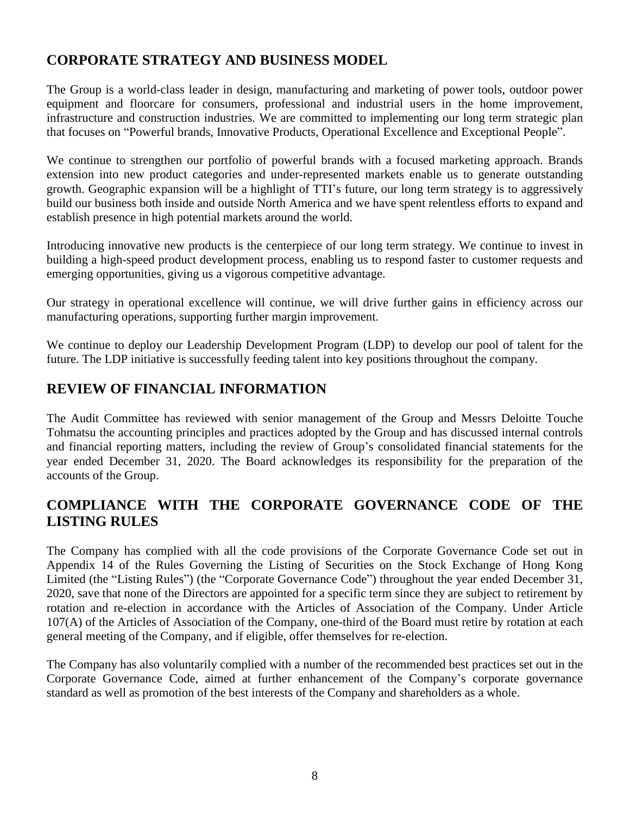# **CORPORATE STRATEGY AND BUSINESS MODEL**

The Group is a world-class leader in design, manufacturing and marketing of power tools, outdoor power equipment and floorcare for consumers, professional and industrial users in the home improvement, infrastructure and construction industries. We are committed to implementing our long term strategic plan that focuses on "Powerful brands, Innovative Products, Operational Excellence and Exceptional People".

We continue to strengthen our portfolio of powerful brands with a focused marketing approach. Brands extension into new product categories and under-represented markets enable us to generate outstanding growth. Geographic expansion will be a highlight of TTI's future, our long term strategy is to aggressively build our business both inside and outside North America and we have spent relentless efforts to expand and establish presence in high potential markets around the world.

Introducing innovative new products is the centerpiece of our long term strategy. We continue to invest in building a high-speed product development process, enabling us to respond faster to customer requests and emerging opportunities, giving us a vigorous competitive advantage.

Our strategy in operational excellence will continue, we will drive further gains in efficiency across our manufacturing operations, supporting further margin improvement.

We continue to deploy our Leadership Development Program (LDP) to develop our pool of talent for the future. The LDP initiative is successfully feeding talent into key positions throughout the company.

# **REVIEW OF FINANCIAL INFORMATION**

The Audit Committee has reviewed with senior management of the Group and Messrs Deloitte Touche Tohmatsu the accounting principles and practices adopted by the Group and has discussed internal controls and financial reporting matters, including the review of Group's consolidated financial statements for the year ended December 31, 2020. The Board acknowledges its responsibility for the preparation of the accounts of the Group.

# **COMPLIANCE WITH THE CORPORATE GOVERNANCE CODE OF THE LISTING RULES**

The Company has complied with all the code provisions of the Corporate Governance Code set out in Appendix 14 of the Rules Governing the Listing of Securities on the Stock Exchange of Hong Kong Limited (the "Listing Rules") (the "Corporate Governance Code") throughout the year ended December 31, 2020, save that none of the Directors are appointed for a specific term since they are subject to retirement by rotation and re-election in accordance with the Articles of Association of the Company. Under Article 107(A) of the Articles of Association of the Company, one-third of the Board must retire by rotation at each general meeting of the Company, and if eligible, offer themselves for re-election.

The Company has also voluntarily complied with a number of the recommended best practices set out in the Corporate Governance Code, aimed at further enhancement of the Company's corporate governance standard as well as promotion of the best interests of the Company and shareholders as a whole.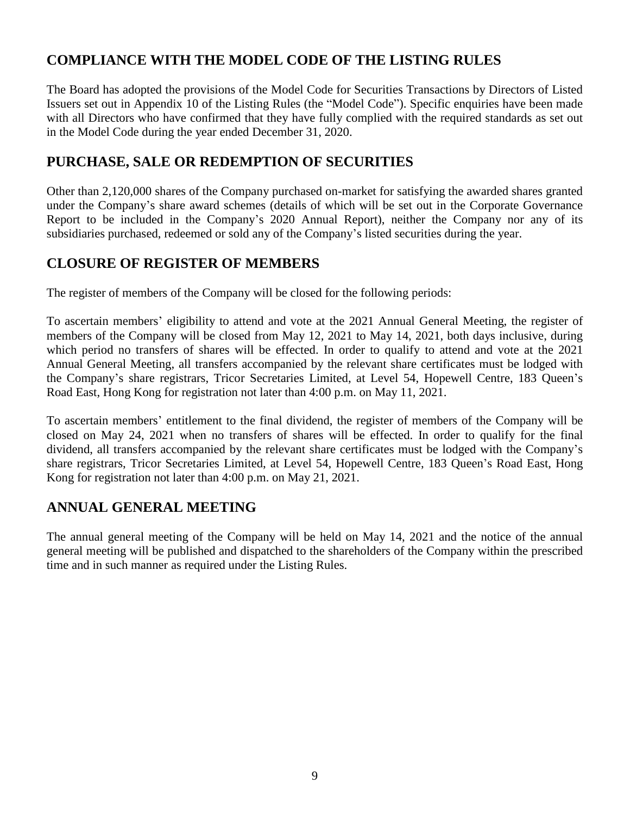# **COMPLIANCE WITH THE MODEL CODE OF THE LISTING RULES**

The Board has adopted the provisions of the Model Code for Securities Transactions by Directors of Listed Issuers set out in Appendix 10 of the Listing Rules (the "Model Code"). Specific enquiries have been made with all Directors who have confirmed that they have fully complied with the required standards as set out in the Model Code during the year ended December 31, 2020.

## **PURCHASE, SALE OR REDEMPTION OF SECURITIES**

Other than 2,120,000 shares of the Company purchased on-market for satisfying the awarded shares granted under the Company's share award schemes (details of which will be set out in the Corporate Governance Report to be included in the Company's 2020 Annual Report), neither the Company nor any of its subsidiaries purchased, redeemed or sold any of the Company's listed securities during the year.

# **CLOSURE OF REGISTER OF MEMBERS**

The register of members of the Company will be closed for the following periods:

To ascertain members' eligibility to attend and vote at the 2021 Annual General Meeting, the register of members of the Company will be closed from May 12, 2021 to May 14, 2021, both days inclusive, during which period no transfers of shares will be effected. In order to qualify to attend and vote at the 2021 Annual General Meeting, all transfers accompanied by the relevant share certificates must be lodged with the Company's share registrars, Tricor Secretaries Limited, at Level 54, Hopewell Centre, 183 Queen's Road East, Hong Kong for registration not later than 4:00 p.m. on May 11, 2021.

To ascertain members' entitlement to the final dividend, the register of members of the Company will be closed on May 24, 2021 when no transfers of shares will be effected. In order to qualify for the final dividend, all transfers accompanied by the relevant share certificates must be lodged with the Company's share registrars, Tricor Secretaries Limited, at Level 54, Hopewell Centre, 183 Queen's Road East, Hong Kong for registration not later than 4:00 p.m. on May 21, 2021.

# **ANNUAL GENERAL MEETING**

The annual general meeting of the Company will be held on May 14, 2021 and the notice of the annual general meeting will be published and dispatched to the shareholders of the Company within the prescribed time and in such manner as required under the Listing Rules.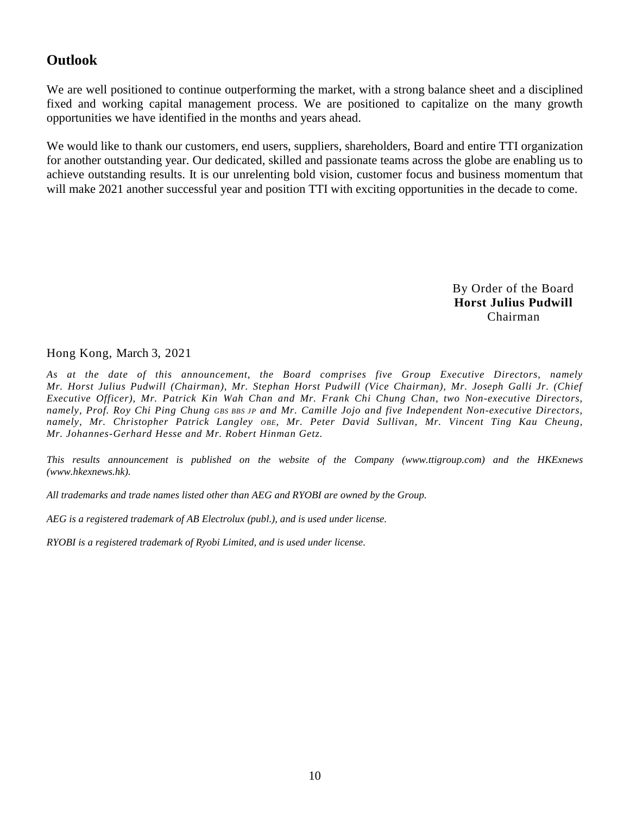## **Outlook**

We are well positioned to continue outperforming the market, with a strong balance sheet and a disciplined fixed and working capital management process. We are positioned to capitalize on the many growth opportunities we have identified in the months and years ahead.

We would like to thank our customers, end users, suppliers, shareholders, Board and entire TTI organization for another outstanding year. Our dedicated, skilled and passionate teams across the globe are enabling us to achieve outstanding results. It is our unrelenting bold vision, customer focus and business momentum that will make 2021 another successful year and position TTI with exciting opportunities in the decade to come.

> By Order of the Board **Horst Julius Pudwill** Chairman

#### Hong Kong, March 3, 2021

*As at the date of this announcement, the Board comprises five Group Executive Directors, namely Mr. Horst Julius Pudwill (Chairman), Mr. Stephan Horst Pudwill (Vice Chairman), Mr. Joseph Galli Jr. (Chief Executive Officer), Mr. Patrick Kin Wah Chan and Mr. Frank Chi Chung Chan, two Non-executive Directors, namely, Prof. Roy Chi Ping Chung GBS BBS JP and Mr. Camille Jojo and five Independent Non-executive Directors, namely, Mr. Christopher Patrick Langley OBE, Mr. Peter David Sullivan, Mr. Vincent Ting Kau Cheung, Mr. Johannes-Gerhard Hesse and Mr. Robert Hinman Getz.*

*This results announcement is published on the website of the Company (www.ttigroup.com) and the HKExnews (www.hkexnews.hk).*

*All trademarks and trade names listed other than AEG and RYOBI are owned by the Group.*

*AEG is a registered trademark of AB Electrolux (publ.), and is used under license.*

*RYOBI is a registered trademark of Ryobi Limited, and is used under license.*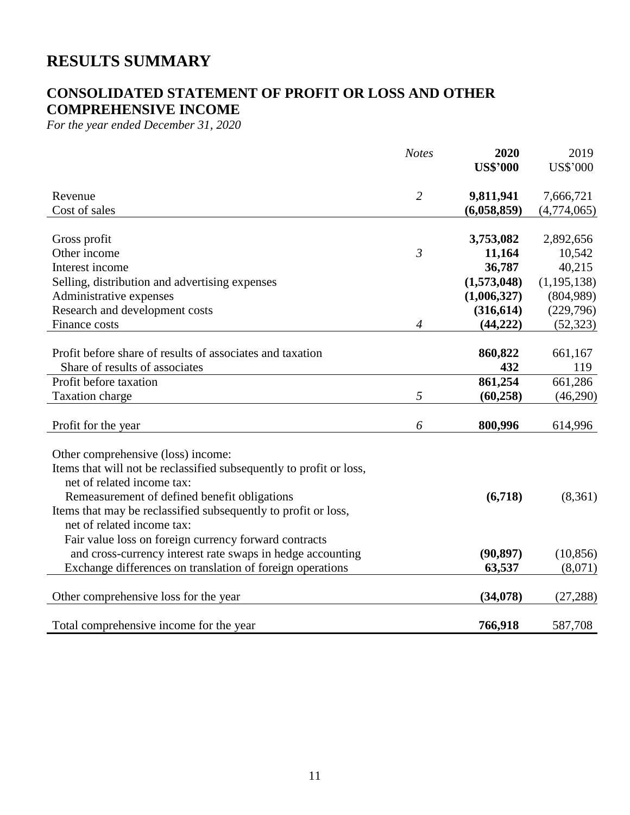# **RESULTS SUMMARY**

# **CONSOLIDATED STATEMENT OF PROFIT OR LOSS AND OTHER COMPREHENSIVE INCOME**

*For the year ended December 31, 2020*

|                                                                     | <b>Notes</b>   | 2020            | 2019            |
|---------------------------------------------------------------------|----------------|-----------------|-----------------|
|                                                                     |                | <b>US\$'000</b> | <b>US\$'000</b> |
| Revenue                                                             | $\overline{2}$ | 9,811,941       | 7,666,721       |
| Cost of sales                                                       |                | (6,058,859)     | (4,774,065)     |
| Gross profit                                                        |                | 3,753,082       | 2,892,656       |
| Other income                                                        | $\mathfrak{Z}$ | 11,164          | 10,542          |
| Interest income                                                     |                | 36,787          | 40,215          |
| Selling, distribution and advertising expenses                      |                | (1,573,048)     | (1, 195, 138)   |
| Administrative expenses                                             |                | (1,006,327)     | (804,989)       |
| Research and development costs                                      |                | (316, 614)      | (229,796)       |
| Finance costs                                                       | $\overline{4}$ | (44, 222)       | (52, 323)       |
|                                                                     |                |                 |                 |
| Profit before share of results of associates and taxation           |                | 860,822         | 661,167         |
| Share of results of associates                                      |                | 432             | 119             |
| Profit before taxation                                              |                | 861,254         | 661,286         |
| Taxation charge                                                     | 5              | (60, 258)       | (46,290)        |
| Profit for the year                                                 | 6              | 800,996         | 614,996         |
| Other comprehensive (loss) income:                                  |                |                 |                 |
| Items that will not be reclassified subsequently to profit or loss, |                |                 |                 |
| net of related income tax:                                          |                |                 |                 |
| Remeasurement of defined benefit obligations                        |                | (6,718)         | (8,361)         |
| Items that may be reclassified subsequently to profit or loss,      |                |                 |                 |
| net of related income tax:                                          |                |                 |                 |
| Fair value loss on foreign currency forward contracts               |                |                 |                 |
| and cross-currency interest rate swaps in hedge accounting          |                | (90, 897)       | (10, 856)       |
| Exchange differences on translation of foreign operations           |                | 63,537          | (8,071)         |
|                                                                     |                |                 |                 |
| Other comprehensive loss for the year                               |                | (34,078)        | (27, 288)       |
| Total comprehensive income for the year                             |                | 766,918         | 587,708         |
|                                                                     |                |                 |                 |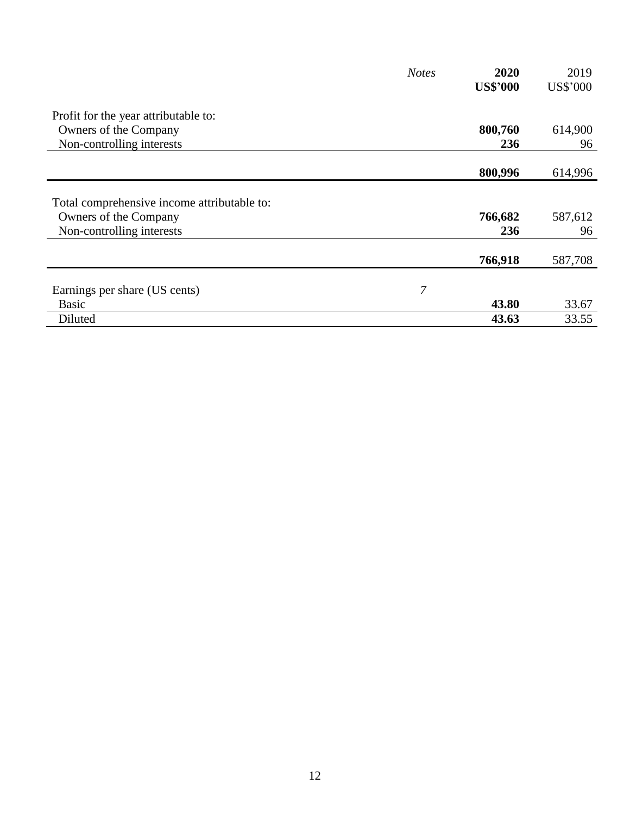|                                             | <b>Notes</b> | 2020            | 2019     |
|---------------------------------------------|--------------|-----------------|----------|
|                                             |              | <b>US\$'000</b> | US\$'000 |
| Profit for the year attributable to:        |              |                 |          |
| Owners of the Company                       |              | 800,760         | 614,900  |
| Non-controlling interests                   |              | 236             | 96       |
|                                             |              |                 |          |
|                                             |              | 800,996         | 614,996  |
|                                             |              |                 |          |
| Total comprehensive income attributable to: |              |                 |          |
| Owners of the Company                       |              | 766,682         | 587,612  |
| Non-controlling interests                   |              | 236             | 96       |
|                                             |              |                 |          |
|                                             |              | 766,918         | 587,708  |
|                                             |              |                 |          |
| Earnings per share (US cents)               | 7            |                 |          |
| <b>Basic</b>                                |              | 43.80           | 33.67    |
| Diluted                                     |              | 43.63           | 33.55    |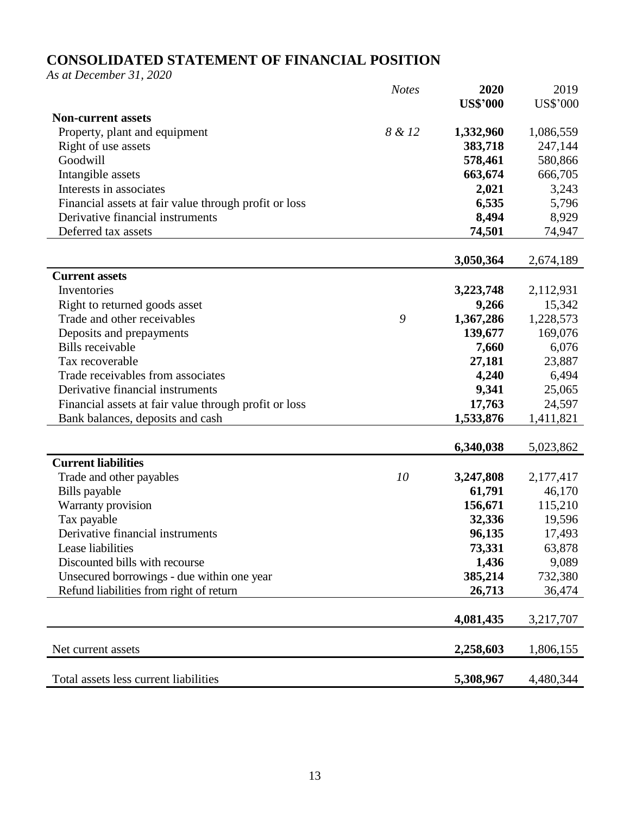# **CONSOLIDATED STATEMENT OF FINANCIAL POSITION**

*As at December 31, 2020*

|                                                       | <b>Notes</b> | 2020            | 2019            |
|-------------------------------------------------------|--------------|-----------------|-----------------|
|                                                       |              | <b>US\$'000</b> | <b>US\$'000</b> |
| <b>Non-current assets</b>                             |              |                 |                 |
| Property, plant and equipment                         | 8 & 12       | 1,332,960       | 1,086,559       |
| Right of use assets                                   |              | 383,718         | 247,144         |
| Goodwill                                              |              | 578,461         | 580,866         |
| Intangible assets                                     |              | 663,674         | 666,705         |
| Interests in associates                               |              | 2,021           | 3,243           |
| Financial assets at fair value through profit or loss |              | 6,535           | 5,796           |
| Derivative financial instruments                      |              | 8,494           | 8,929           |
| Deferred tax assets                                   |              | 74,501          | 74,947          |
|                                                       |              |                 |                 |
|                                                       |              | 3,050,364       | 2,674,189       |
| <b>Current assets</b>                                 |              |                 |                 |
| Inventories                                           |              | 3,223,748       | 2,112,931       |
| Right to returned goods asset                         |              | 9,266           | 15,342          |
| Trade and other receivables                           | 9            | 1,367,286       | 1,228,573       |
| Deposits and prepayments                              |              | 139,677         | 169,076         |
| <b>Bills</b> receivable                               |              | 7,660           | 6,076           |
| Tax recoverable                                       |              | 27,181          | 23,887          |
| Trade receivables from associates                     |              | 4,240           | 6,494           |
| Derivative financial instruments                      |              | 9,341           | 25,065          |
| Financial assets at fair value through profit or loss |              | 17,763          | 24,597          |
| Bank balances, deposits and cash                      |              | 1,533,876       | 1,411,821       |
|                                                       |              |                 |                 |
|                                                       |              | 6,340,038       | 5,023,862       |
| <b>Current liabilities</b>                            |              |                 |                 |
| Trade and other payables                              | 10           | 3,247,808       | 2,177,417       |
| Bills payable                                         |              | 61,791          | 46,170          |
| Warranty provision                                    |              | 156,671         | 115,210         |
| Tax payable                                           |              | 32,336          | 19,596          |
| Derivative financial instruments                      |              | 96,135          | 17,493          |
| Lease liabilities                                     |              | 73,331          | 63,878          |
| Discounted bills with recourse                        |              | 1,436           | 9,089           |
| Unsecured borrowings - due within one year            |              | 385,214         | 732,380         |
| Refund liabilities from right of return               |              | 26,713          | 36,474          |
|                                                       |              |                 |                 |
|                                                       |              | 4,081,435       | 3,217,707       |
|                                                       |              |                 |                 |
| Net current assets                                    |              | 2,258,603       | 1,806,155       |
|                                                       |              |                 |                 |
| Total assets less current liabilities                 |              | 5,308,967       | 4,480,344       |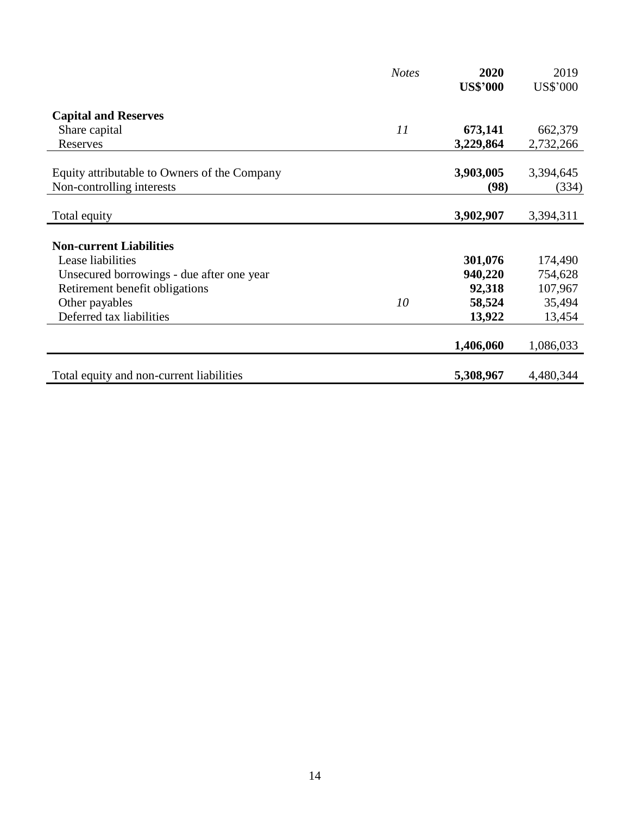|                                              | <b>Notes</b> | 2020            | 2019      |
|----------------------------------------------|--------------|-----------------|-----------|
|                                              |              | <b>US\$'000</b> | US\$'000  |
| <b>Capital and Reserves</b>                  |              |                 |           |
| Share capital                                | 11           | 673,141         | 662,379   |
| Reserves                                     |              | 3,229,864       | 2,732,266 |
| Equity attributable to Owners of the Company |              | 3,903,005       | 3,394,645 |
| Non-controlling interests                    |              | (98)            | (334)     |
|                                              |              |                 |           |
| Total equity                                 |              | 3,902,907       | 3,394,311 |
| <b>Non-current Liabilities</b>               |              |                 |           |
| Lease liabilities                            |              | 301,076         | 174,490   |
| Unsecured borrowings - due after one year    |              | 940,220         | 754,628   |
| Retirement benefit obligations               |              | 92,318          | 107,967   |
| Other payables                               | 10           | 58,524          | 35,494    |
| Deferred tax liabilities                     |              | 13,922          | 13,454    |
|                                              |              | 1,406,060       | 1,086,033 |
| Total equity and non-current liabilities     |              | 5,308,967       | 4,480,344 |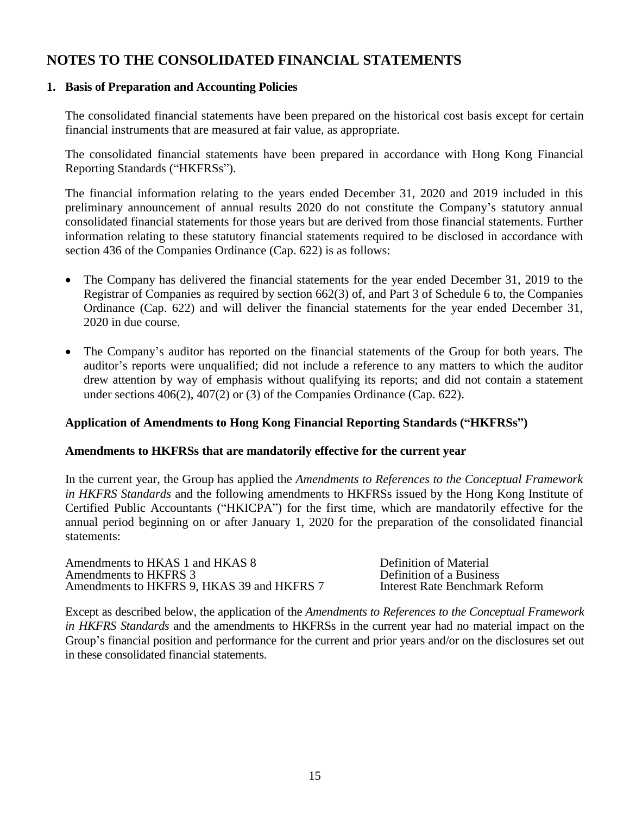# **NOTES TO THE CONSOLIDATED FINANCIAL STATEMENTS**

### **1. Basis of Preparation and Accounting Policies**

The consolidated financial statements have been prepared on the historical cost basis except for certain financial instruments that are measured at fair value, as appropriate.

The consolidated financial statements have been prepared in accordance with Hong Kong Financial Reporting Standards ("HKFRSs").

The financial information relating to the years ended December 31, 2020 and 2019 included in this preliminary announcement of annual results 2020 do not constitute the Company's statutory annual consolidated financial statements for those years but are derived from those financial statements. Further information relating to these statutory financial statements required to be disclosed in accordance with section 436 of the Companies Ordinance (Cap. 622) is as follows:

- The Company has delivered the financial statements for the year ended December 31, 2019 to the Registrar of Companies as required by section 662(3) of, and Part 3 of Schedule 6 to, the Companies Ordinance (Cap. 622) and will deliver the financial statements for the year ended December 31, 2020 in due course.
- The Company's auditor has reported on the financial statements of the Group for both years. The auditor's reports were unqualified; did not include a reference to any matters to which the auditor drew attention by way of emphasis without qualifying its reports; and did not contain a statement under sections 406(2), 407(2) or (3) of the Companies Ordinance (Cap. 622).

### **Application of Amendments to Hong Kong Financial Reporting Standards ("HKFRSs")**

### **Amendments to HKFRSs that are mandatorily effective for the current year**

In the current year, the Group has applied the *Amendments to References to the Conceptual Framework in HKFRS Standards* and the following amendments to HKFRSs issued by the Hong Kong Institute of Certified Public Accountants ("HKICPA") for the first time, which are mandatorily effective for the annual period beginning on or after January 1, 2020 for the preparation of the consolidated financial statements:

Amendments to HKAS 1 and HKAS 8 Definition of Material<br>Amendments to HKFRS 3 Definition of a Business Amendments to HKFRS 3<br>Amendments to HKFRS 9. HKAS 39 and HKFRS 7 Therest Rate Benchmark Reform Amendments to HKFRS 9, HKAS 39 and HKFRS 7

Except as described below, the application of the *Amendments to References to the Conceptual Framework in HKFRS Standards* and the amendments to HKFRSs in the current year had no material impact on the Group's financial position and performance for the current and prior years and/or on the disclosures set out in these consolidated financial statements.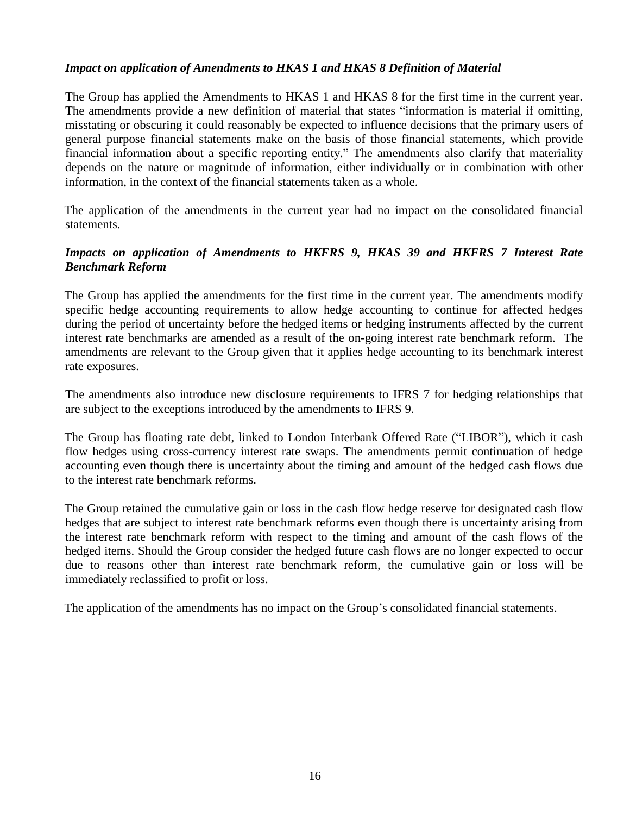### *Impact on application of Amendments to HKAS 1 and HKAS 8 Definition of Material*

The Group has applied the Amendments to HKAS 1 and HKAS 8 for the first time in the current year. The amendments provide a new definition of material that states "information is material if omitting, misstating or obscuring it could reasonably be expected to influence decisions that the primary users of general purpose financial statements make on the basis of those financial statements, which provide financial information about a specific reporting entity." The amendments also clarify that materiality depends on the nature or magnitude of information, either individually or in combination with other information, in the context of the financial statements taken as a whole.

The application of the amendments in the current year had no impact on the consolidated financial statements.

### *Impacts on application of Amendments to HKFRS 9, HKAS 39 and HKFRS 7 Interest Rate Benchmark Reform*

The Group has applied the amendments for the first time in the current year. The amendments modify specific hedge accounting requirements to allow hedge accounting to continue for affected hedges during the period of uncertainty before the hedged items or hedging instruments affected by the current interest rate benchmarks are amended as a result of the on-going interest rate benchmark reform. The amendments are relevant to the Group given that it applies hedge accounting to its benchmark interest rate exposures.

The amendments also introduce new disclosure requirements to IFRS 7 for hedging relationships that are subject to the exceptions introduced by the amendments to IFRS 9.

The Group has floating rate debt, linked to London Interbank Offered Rate ("LIBOR"), which it cash flow hedges using cross-currency interest rate swaps. The amendments permit continuation of hedge accounting even though there is uncertainty about the timing and amount of the hedged cash flows due to the interest rate benchmark reforms.

The Group retained the cumulative gain or loss in the cash flow hedge reserve for designated cash flow hedges that are subject to interest rate benchmark reforms even though there is uncertainty arising from the interest rate benchmark reform with respect to the timing and amount of the cash flows of the hedged items. Should the Group consider the hedged future cash flows are no longer expected to occur due to reasons other than interest rate benchmark reform, the cumulative gain or loss will be immediately reclassified to profit or loss.

The application of the amendments has no impact on the Group's consolidated financial statements.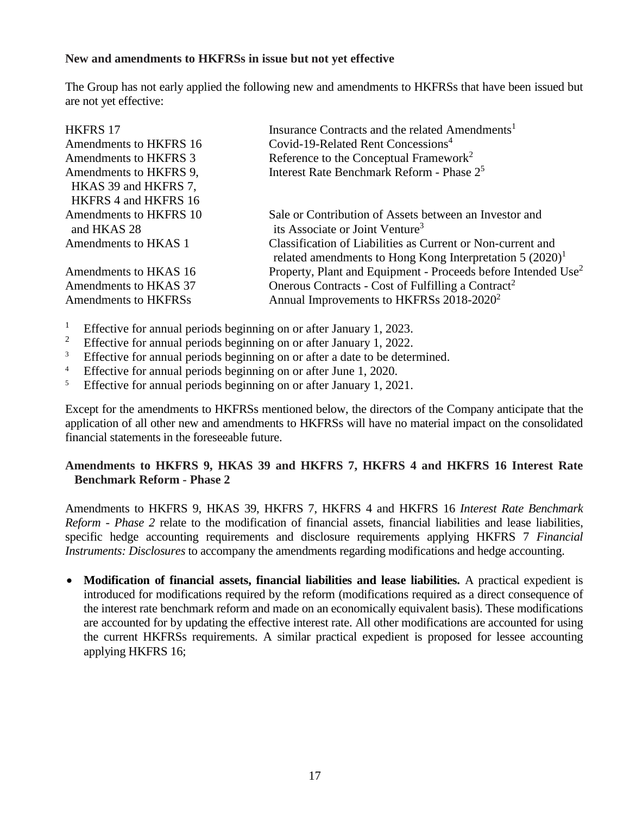### **New and amendments to HKFRSs in issue but not yet effective**

The Group has not early applied the following new and amendments to HKFRSs that have been issued but are not yet effective:

| <b>HKFRS 17</b><br>Amendments to HKFRS 16      | Insurance Contracts and the related Amendments <sup>1</sup><br>Covid-19-Related Rent Concessions <sup>4</sup> |
|------------------------------------------------|---------------------------------------------------------------------------------------------------------------|
| Amendments to HKFRS 3                          | Reference to the Conceptual Framework <sup>2</sup>                                                            |
| Amendments to HKFRS 9,<br>HKAS 39 and HKFRS 7, | Interest Rate Benchmark Reform - Phase 2 <sup>5</sup>                                                         |
| HKFRS 4 and HKFRS 16<br>Amendments to HKFRS 10 | Sale or Contribution of Assets between an Investor and                                                        |
| and HKAS 28<br>Amendments to HKAS 1            | its Associate or Joint Venture <sup>3</sup><br>Classification of Liabilities as Current or Non-current and    |
|                                                | related amendments to Hong Kong Interpretation $5 (2020)^1$                                                   |
| Amendments to HKAS 16                          | Property, Plant and Equipment - Proceeds before Intended Use <sup>2</sup>                                     |
| Amendments to HKAS 37                          | Onerous Contracts - Cost of Fulfilling a Contract <sup>2</sup>                                                |
| Amendments to HKFRSs                           | Annual Improvements to HKFRSs 2018-2020 <sup>2</sup>                                                          |

- <sup>1</sup> Effective for annual periods beginning on or after January 1, 2023.<br><sup>2</sup> Effective for annual periods beginning on or after January 1, 2022.
- <sup>2</sup> Effective for annual periods beginning on or after January 1, 2022.<br>Effective for annual periods beginning on or after a date to be deter-
- Effective for annual periods beginning on or after a date to be determined.
- <sup>4</sup> Effective for annual periods beginning on or after June 1, 2020.
- <sup>5</sup> Effective for annual periods beginning on or after January 1, 2021.

Except for the amendments to HKFRSs mentioned below, the directors of the Company anticipate that the application of all other new and amendments to HKFRSs will have no material impact on the consolidated financial statements in the foreseeable future.

### **Amendments to HKFRS 9, HKAS 39 and HKFRS 7, HKFRS 4 and HKFRS 16 Interest Rate Benchmark Reform - Phase 2**

Amendments to HKFRS 9, HKAS 39, HKFRS 7, HKFRS 4 and HKFRS 16 *Interest Rate Benchmark Reform - Phase 2* relate to the modification of financial assets, financial liabilities and lease liabilities, specific hedge accounting requirements and disclosure requirements applying HKFRS 7 *Financial Instruments: Disclosures* to accompany the amendments regarding modifications and hedge accounting.

• **Modification of financial assets, financial liabilities and lease liabilities.** A practical expedient is introduced for modifications required by the reform (modifications required as a direct consequence of the interest rate benchmark reform and made on an economically equivalent basis). These modifications are accounted for by updating the effective interest rate. All other modifications are accounted for using the current HKFRSs requirements. A similar practical expedient is proposed for lessee accounting applying HKFRS 16;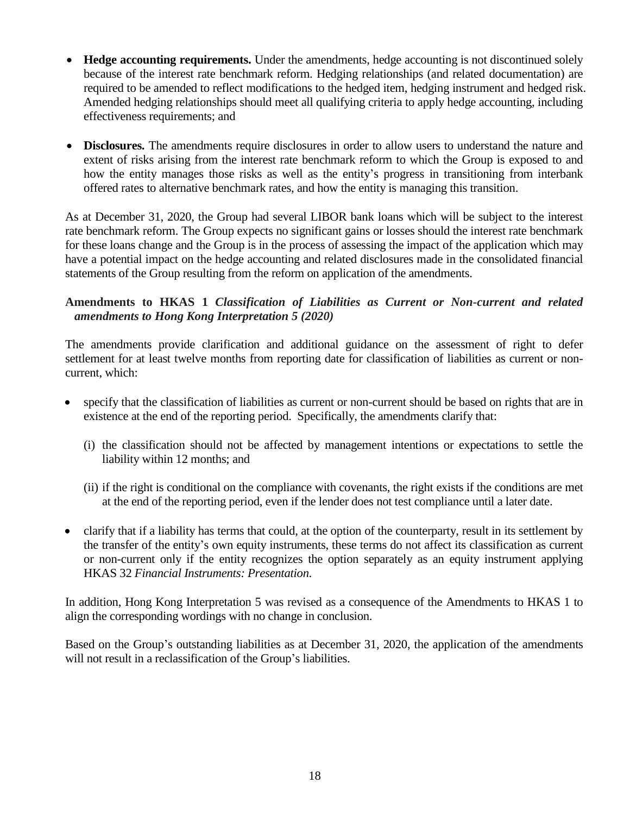- **Hedge accounting requirements.** Under the amendments, hedge accounting is not discontinued solely because of the interest rate benchmark reform. Hedging relationships (and related documentation) are required to be amended to reflect modifications to the hedged item, hedging instrument and hedged risk. Amended hedging relationships should meet all qualifying criteria to apply hedge accounting, including effectiveness requirements; and
- **Disclosures.** The amendments require disclosures in order to allow users to understand the nature and extent of risks arising from the interest rate benchmark reform to which the Group is exposed to and how the entity manages those risks as well as the entity's progress in transitioning from interbank offered rates to alternative benchmark rates, and how the entity is managing this transition.

As at December 31, 2020, the Group had several LIBOR bank loans which will be subject to the interest rate benchmark reform. The Group expects no significant gains or losses should the interest rate benchmark for these loans change and the Group is in the process of assessing the impact of the application which may have a potential impact on the hedge accounting and related disclosures made in the consolidated financial statements of the Group resulting from the reform on application of the amendments.

### **Amendments to HKAS 1** *Classification of Liabilities as Current or Non-current and related amendments to Hong Kong Interpretation 5 (2020)*

The amendments provide clarification and additional guidance on the assessment of right to defer settlement for at least twelve months from reporting date for classification of liabilities as current or noncurrent, which:

- specify that the classification of liabilities as current or non-current should be based on rights that are in existence at the end of the reporting period. Specifically, the amendments clarify that:
	- (i) the classification should not be affected by management intentions or expectations to settle the liability within 12 months; and
	- (ii) if the right is conditional on the compliance with covenants, the right exists if the conditions are met at the end of the reporting period, even if the lender does not test compliance until a later date.
- clarify that if a liability has terms that could, at the option of the counterparty, result in its settlement by the transfer of the entity's own equity instruments, these terms do not affect its classification as current or non-current only if the entity recognizes the option separately as an equity instrument applying HKAS 32 *Financial Instruments: Presentation*.

In addition, Hong Kong Interpretation 5 was revised as a consequence of the Amendments to HKAS 1 to align the corresponding wordings with no change in conclusion.

Based on the Group's outstanding liabilities as at December 31, 2020, the application of the amendments will not result in a reclassification of the Group's liabilities.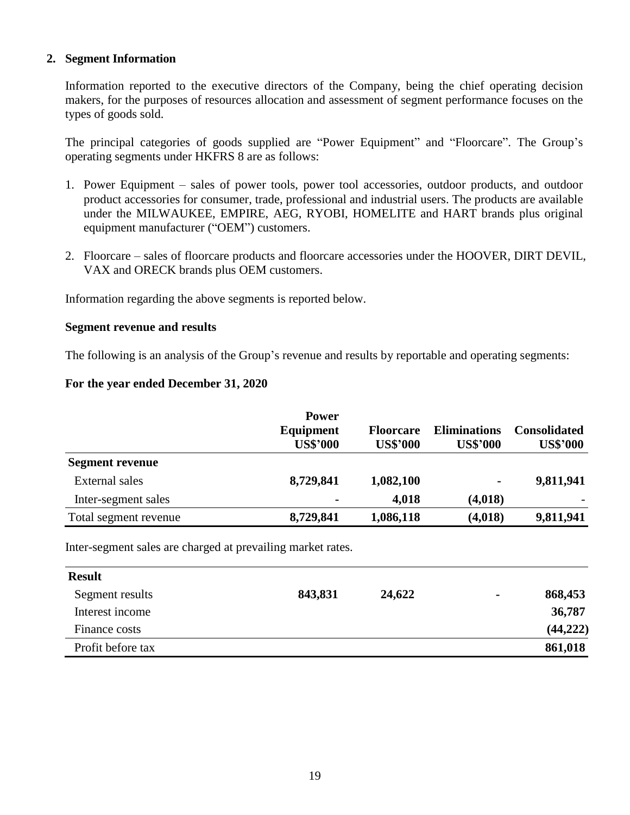#### **2. Segment Information**

Information reported to the executive directors of the Company, being the chief operating decision makers, for the purposes of resources allocation and assessment of segment performance focuses on the types of goods sold.

The principal categories of goods supplied are "Power Equipment" and "Floorcare". The Group's operating segments under HKFRS 8 are as follows:

- 1. Power Equipment sales of power tools, power tool accessories, outdoor products, and outdoor product accessories for consumer, trade, professional and industrial users. The products are available under the MILWAUKEE, EMPIRE, AEG, RYOBI, HOMELITE and HART brands plus original equipment manufacturer ("OEM") customers.
- 2. Floorcare sales of floorcare products and floorcare accessories under the HOOVER, DIRT DEVIL, VAX and ORECK brands plus OEM customers.

Information regarding the above segments is reported below.

#### **Segment revenue and results**

The following is an analysis of the Group's revenue and results by reportable and operating segments:

#### **For the year ended December 31, 2020**

|                        | <b>Power</b><br>Equipment<br><b>US\$'000</b> | <b>Floorcare</b><br><b>US\$'000</b> | <b>Eliminations</b><br><b>US\$'000</b> | <b>Consolidated</b><br><b>US\$'000</b> |
|------------------------|----------------------------------------------|-------------------------------------|----------------------------------------|----------------------------------------|
| <b>Segment revenue</b> |                                              |                                     |                                        |                                        |
| External sales         | 8,729,841                                    | 1,082,100                           | $\blacksquare$                         | 9,811,941                              |
| Inter-segment sales    |                                              | 4,018                               | (4,018)                                |                                        |
| Total segment revenue  | 8,729,841                                    | 1,086,118                           | (4,018)                                | 9,811,941                              |

Inter-segment sales are charged at prevailing market rates.

| <b>Result</b>     |         |        |                |           |
|-------------------|---------|--------|----------------|-----------|
| Segment results   | 843,831 | 24,622 | $\blacksquare$ | 868,453   |
| Interest income   |         |        |                | 36,787    |
| Finance costs     |         |        |                | (44, 222) |
| Profit before tax |         |        |                | 861,018   |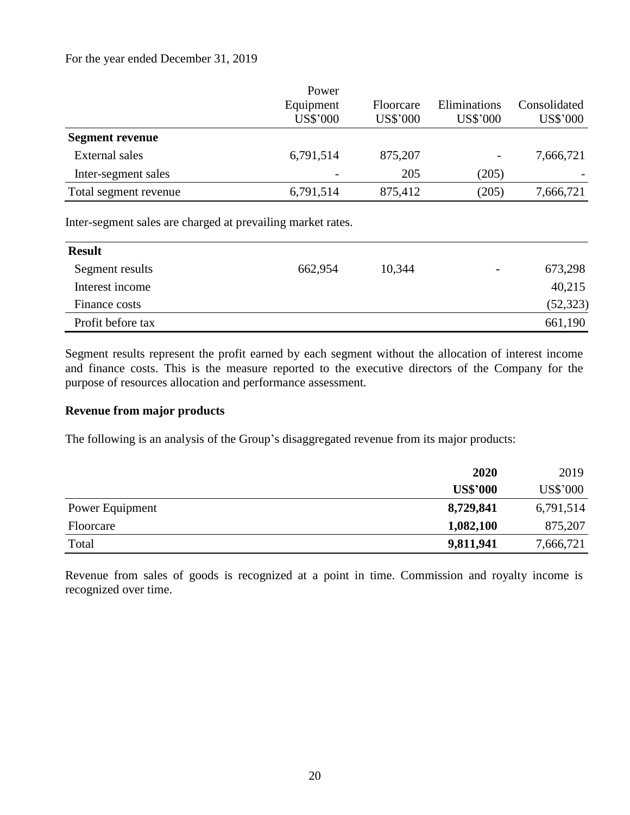#### For the year ended December 31, 2019

|                        | Power           |                  |              |              |
|------------------------|-----------------|------------------|--------------|--------------|
|                        | Equipment       | <b>Floorcare</b> | Eliminations | Consolidated |
|                        | <b>US\$'000</b> | US\$'000         | US\$'000     | US\$'000     |
| <b>Segment revenue</b> |                 |                  |              |              |
| External sales         | 6,791,514       | 875,207          |              | 7,666,721    |
| Inter-segment sales    |                 | 205              | (205)        |              |
| Total segment revenue  | 6,791,514       | 875,412          | (205)        | 7,666,721    |
|                        |                 |                  |              |              |

Inter-segment sales are charged at prevailing market rates.

| <b>Result</b>     |         |        |                          |           |
|-------------------|---------|--------|--------------------------|-----------|
| Segment results   | 662,954 | 10,344 | $\overline{\phantom{a}}$ | 673,298   |
| Interest income   |         |        |                          | 40,215    |
| Finance costs     |         |        |                          | (52, 323) |
| Profit before tax |         |        |                          | 661,190   |

Segment results represent the profit earned by each segment without the allocation of interest income and finance costs. This is the measure reported to the executive directors of the Company for the purpose of resources allocation and performance assessment.

### **Revenue from major products**

The following is an analysis of the Group's disaggregated revenue from its major products:

|                 | 2020            | 2019      |
|-----------------|-----------------|-----------|
|                 | <b>US\$'000</b> | US\$'000  |
| Power Equipment | 8,729,841       | 6,791,514 |
| Floorcare       | 1,082,100       | 875,207   |
| Total           | 9,811,941       | 7,666,721 |

Revenue from sales of goods is recognized at a point in time. Commission and royalty income is recognized over time.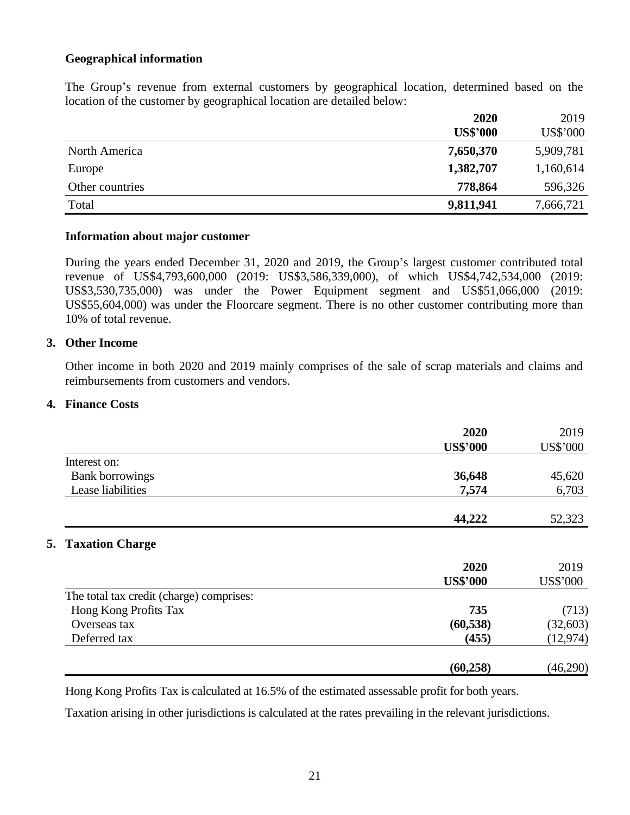### **Geographical information**

The Group's revenue from external customers by geographical location, determined based on the location of the customer by geographical location are detailed below:

|                 | 2020            | 2019      |
|-----------------|-----------------|-----------|
|                 | <b>US\$'000</b> | US\$'000  |
| North America   | 7,650,370       | 5,909,781 |
| Europe          | 1,382,707       | 1,160,614 |
| Other countries | 778,864         | 596,326   |
| Total           | 9,811,941       | 7,666,721 |

#### **Information about major customer**

During the years ended December 31, 2020 and 2019, the Group's largest customer contributed total revenue of US\$4,793,600,000 (2019: US\$3,586,339,000), of which US\$4,742,534,000 (2019: US\$3,530,735,000) was under the Power Equipment segment and US\$51,066,000 (2019: US\$55,604,000) was under the Floorcare segment. There is no other customer contributing more than 10% of total revenue.

#### **3. Other Income**

Other income in both 2020 and 2019 mainly comprises of the sale of scrap materials and claims and reimbursements from customers and vendors.

### **4. Finance Costs**

|                                          | 2020<br><b>US\$'000</b> | 2019<br><b>US\$'000</b> |
|------------------------------------------|-------------------------|-------------------------|
| Interest on:                             |                         |                         |
| <b>Bank borrowings</b>                   | 36,648                  | 45,620                  |
| Lease liabilities                        | 7,574                   | 6,703                   |
|                                          | 44,222                  | 52,323                  |
| <b>5. Taxation Charge</b>                |                         |                         |
|                                          | 2020                    | 2019                    |
|                                          | <b>US\$'000</b>         | <b>US\$'000</b>         |
| The total tax credit (charge) comprises: |                         |                         |
| Hong Kong Profits Tax                    | 735                     | (713)                   |
| Overseas tax                             | (60, 538)               | (32, 603)               |
| Deferred tax                             | (455)                   | (12, 974)               |
|                                          | (60, 258)               | (46,290)                |

Hong Kong Profits Tax is calculated at 16.5% of the estimated assessable profit for both years.

Taxation arising in other jurisdictions is calculated at the rates prevailing in the relevant jurisdictions.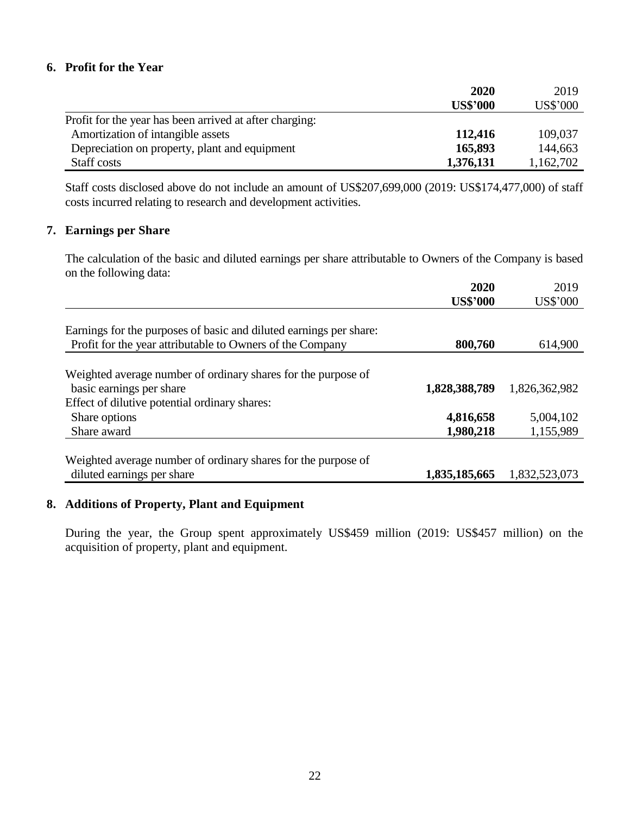### **6. Profit for the Year**

|                                                         | 2020            | 2019      |
|---------------------------------------------------------|-----------------|-----------|
|                                                         | <b>US\$'000</b> | US\$'000  |
| Profit for the year has been arrived at after charging: |                 |           |
| Amortization of intangible assets                       | 112,416         | 109,037   |
| Depreciation on property, plant and equipment           | 165,893         | 144,663   |
| Staff costs                                             | 1,376,131       | 1,162,702 |

Staff costs disclosed above do not include an amount of US\$207,699,000 (2019: US\$174,477,000) of staff costs incurred relating to research and development activities.

### **7. Earnings per Share**

The calculation of the basic and diluted earnings per share attributable to Owners of the Company is based on the following data:

|                                                                    | 2020            | 2019            |
|--------------------------------------------------------------------|-----------------|-----------------|
|                                                                    | <b>US\$'000</b> | <b>US\$'000</b> |
|                                                                    |                 |                 |
| Earnings for the purposes of basic and diluted earnings per share: |                 |                 |
| Profit for the year attributable to Owners of the Company          | 800,760         | 614,900         |
|                                                                    |                 |                 |
| Weighted average number of ordinary shares for the purpose of      |                 |                 |
| basic earnings per share                                           | 1,828,388,789   | 1,826,362,982   |
| Effect of dilutive potential ordinary shares:                      |                 |                 |
| Share options                                                      | 4,816,658       | 5,004,102       |
| Share award                                                        | 1,980,218       | 1,155,989       |
|                                                                    |                 |                 |
| Weighted average number of ordinary shares for the purpose of      |                 |                 |
| diluted earnings per share                                         | 1,835,185,665   | 1,832,523,073   |
|                                                                    |                 |                 |

### **8. Additions of Property, Plant and Equipment**

During the year, the Group spent approximately US\$459 million (2019: US\$457 million) on the acquisition of property, plant and equipment.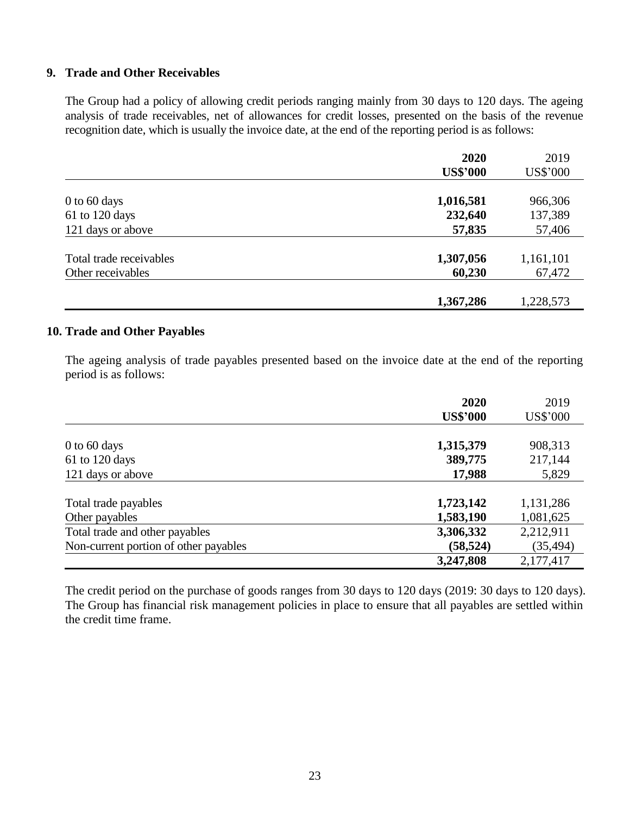### **9. Trade and Other Receivables**

The Group had a policy of allowing credit periods ranging mainly from 30 days to 120 days. The ageing analysis of trade receivables, net of allowances for credit losses, presented on the basis of the revenue recognition date, which is usually the invoice date, at the end of the reporting period is as follows:

|                         | 2020            | 2019            |
|-------------------------|-----------------|-----------------|
|                         | <b>US\$'000</b> | <b>US\$'000</b> |
|                         |                 |                 |
| $0$ to 60 days          | 1,016,581       | 966,306         |
| 61 to 120 days          | 232,640         | 137,389         |
| 121 days or above       | 57,835          | 57,406          |
| Total trade receivables | 1,307,056       | 1,161,101       |
| Other receivables       | 60,230          | 67,472          |
|                         |                 |                 |
|                         | 1,367,286       | 1,228,573       |

### **10. Trade and Other Payables**

The ageing analysis of trade payables presented based on the invoice date at the end of the reporting period is as follows:

|                                       | 2020            | 2019      |
|---------------------------------------|-----------------|-----------|
|                                       | <b>US\$'000</b> | US\$'000  |
|                                       |                 |           |
| $0$ to 60 days                        | 1,315,379       | 908,313   |
| $61$ to 120 days                      | 389,775         | 217,144   |
| 121 days or above                     | 17,988          | 5,829     |
|                                       |                 |           |
| Total trade payables                  | 1,723,142       | 1,131,286 |
| Other payables                        | 1,583,190       | 1,081,625 |
| Total trade and other payables        | 3,306,332       | 2,212,911 |
| Non-current portion of other payables | (58, 524)       | (35, 494) |
|                                       | 3,247,808       | 2,177,417 |

The credit period on the purchase of goods ranges from 30 days to 120 days (2019: 30 days to 120 days). The Group has financial risk management policies in place to ensure that all payables are settled within the credit time frame.